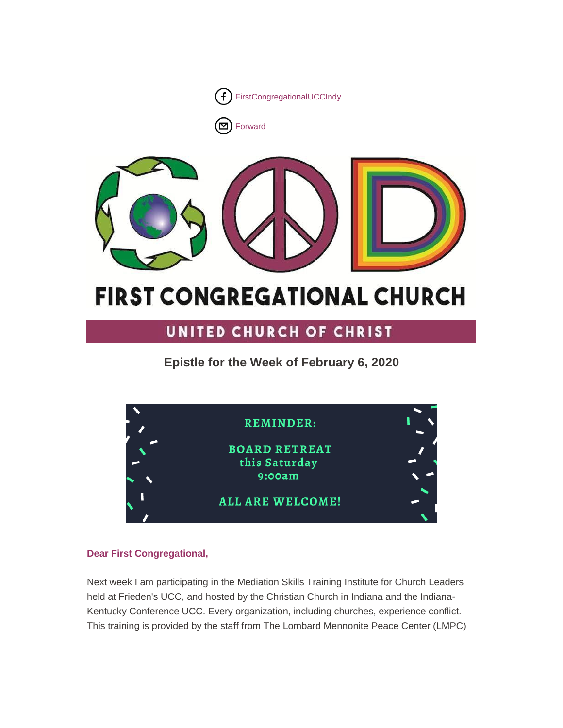

[Forward](http://us16.forward-to-friend.com/forward?u=7a2e4c501545b6d78729a64a1&id=3895756f9e&e=%5bUNIQID%5d)



# **FIRST CONGREGATIONAL CHURCH**

# UNITED CHURCH OF CHRIST

**Epistle for the Week of February 6, 2020**

| <b>REMINDER:</b>                                |  |
|-------------------------------------------------|--|
| <b>BOARD RETREAT</b><br>this Saturday<br>9:00am |  |
| <b>ALL ARE WELCOME!</b>                         |  |

# **Dear First Congregational,**

Next week I am participating in the Mediation Skills Training Institute for Church Leaders held at Frieden's UCC, and hosted by the Christian Church in Indiana and the Indiana-Kentucky Conference UCC. Every organization, including churches, experience conflict. This training is provided by the staff from The Lombard Mennonite Peace Center (LMPC)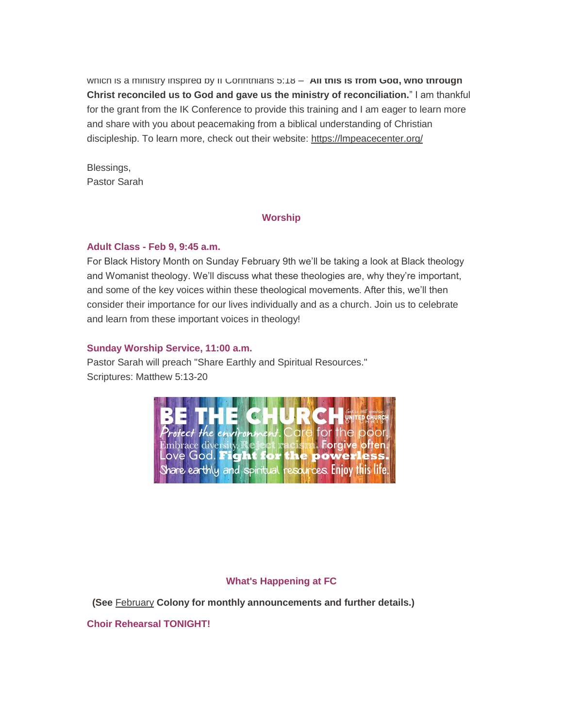which is a ministry inspired by II Corinthians 5:18 – "All this is from God, who through **Christ reconciled us to God and gave us the ministry of reconciliation.**" I am thankful for the grant from the IK Conference to provide this training and I am eager to learn more and share with you about peacemaking from a biblical understanding of Christian discipleship. To learn more, check out their website: <https://lmpeacecenter.org/>

Blessings, Pastor Sarah

#### **Worship**

#### **Adult Class - Feb 9, 9:45 a.m.**

For Black History Month on Sunday February 9th we'll be taking a look at Black theology and Womanist theology. We'll discuss what these theologies are, why they're important, and some of the key voices within these theological movements. After this, we'll then consider their importance for our lives individually and as a church. Join us to celebrate and learn from these important voices in theology!

#### **Sunday Worship Service, 11:00 a.m.**

Pastor Sarah will preach "Share Earthly and Spiritual Resources." Scriptures: Matthew 5:13-20



#### **What's Happening at FC**

**(See** [February](https://mcusercontent.com/7a2e4c501545b6d78729a64a1/files/ab29d4a4-bf24-446c-aee6-d891598e5fc4/February_2020.pdf) **Colony for monthly announcements and further details.)**

**Choir Rehearsal TONIGHT!**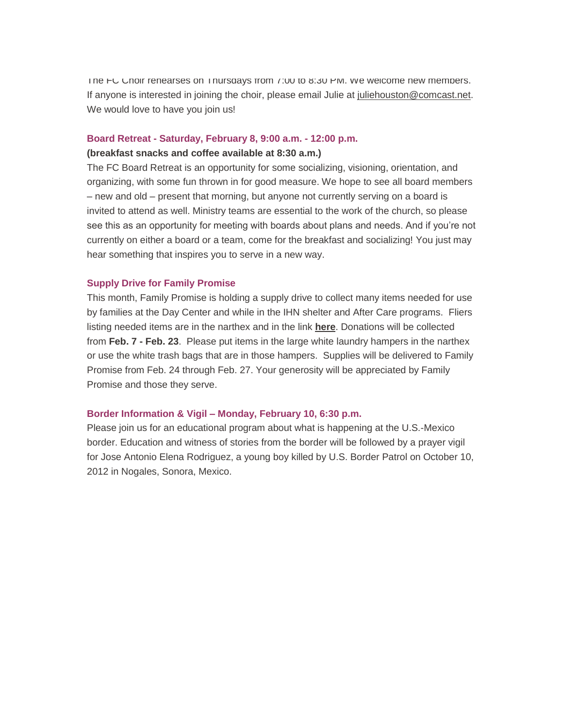The FC Choir rehearses on Thursdays from 7:00 to 8:30 PM. We welcome new members. If anyone is interested in joining the choir, please email Julie at [juliehouston@comcast.net.](mailto:juliehouston@comcast.net) We would love to have you join us!

## **Board Retreat - Saturday, February 8, 9:00 a.m. - 12:00 p.m.**

#### **(breakfast snacks and coffee available at 8:30 a.m.)**

The FC Board Retreat is an opportunity for some socializing, visioning, orientation, and organizing, with some fun thrown in for good measure. We hope to see all board members – new and old – present that morning, but anyone not currently serving on a board is invited to attend as well. Ministry teams are essential to the work of the church, so please see this as an opportunity for meeting with boards about plans and needs. And if you're not currently on either a board or a team, come for the breakfast and socializing! You just may hear something that inspires you to serve in a new way.

#### **Supply Drive for Family Promise**

This month, Family Promise is holding a supply drive to collect many items needed for use by families at the Day Center and while in the IHN shelter and After Care programs. Fliers listing needed items are in the narthex and in the link **[here](https://mcusercontent.com/7a2e4c501545b6d78729a64a1/images/27772fa1-ea64-4cdb-ae20-f53e33e7a596.jpg)**. Donations will be collected from **Feb. 7 - Feb. 23**. Please put items in the large white laundry hampers in the narthex or use the white trash bags that are in those hampers. Supplies will be delivered to Family Promise from Feb. 24 through Feb. 27. Your generosity will be appreciated by Family Promise and those they serve.

#### **Border Information & Vigil – Monday, February 10, 6:30 p.m.**

Please join us for an educational program about what is happening at the U.S.-Mexico border. Education and witness of stories from the border will be followed by a prayer vigil for Jose Antonio Elena Rodriguez, a young boy killed by U.S. Border Patrol on October 10, 2012 in Nogales, Sonora, Mexico.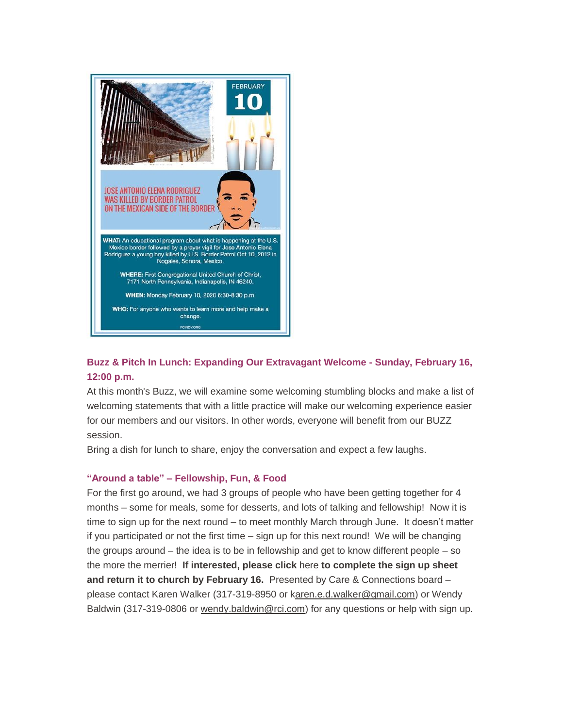

# **Buzz & Pitch In Lunch: Expanding Our Extravagant Welcome - Sunday, February 16, 12:00 p.m.**

At this month's Buzz, we will examine some welcoming stumbling blocks and make a list of welcoming statements that with a little practice will make our welcoming experience easier for our members and our visitors. In other words, everyone will benefit from our BUZZ session.

Bring a dish for lunch to share, enjoy the conversation and expect a few laughs.

#### **"Around a table" – Fellowship, Fun, & Food**

For the first go around, we had 3 groups of people who have been getting together for 4 months – some for meals, some for desserts, and lots of talking and fellowship! Now it is time to sign up for the next round – to meet monthly March through June. It doesn't matter if you participated or not the first time – sign up for this next round! We will be changing the groups around – the idea is to be in fellowship and get to know different people – so the more the merrier! **If interested, please click** [here](https://gallery.mailchimp.com/7a2e4c501545b6d78729a64a1/images/426678f9-cbe4-4d2a-9c3e-c626286e5c4e.jpg) **to complete the sign up sheet and return it to church by February 16.** Presented by Care & Connections board – please contact Karen Walker (317-319-8950 or [karen.e.d.walker@gmail.com\)](mailto:Karen.e.d.walker@gmail.com) or Wendy Baldwin (317-319-0806 or [wendy.baldwin@rci.com\)](mailto:wendy.baldwin@rci.com) for any questions or help with sign up.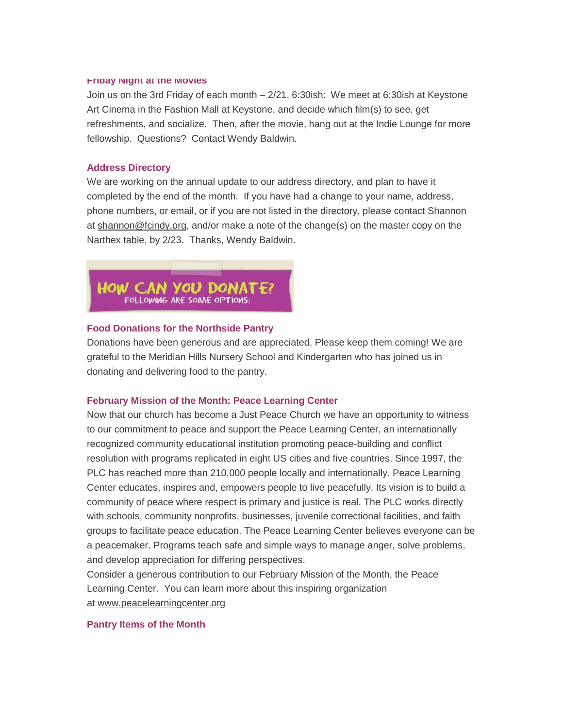#### **Friday Night at the Movies**

Join us on the 3rd Friday of each month – 2/21, 6:30ish: We meet at 6:30ish at Keystone Art Cinema in the Fashion Mall at Keystone, and decide which film(s) to see, get refreshments, and socialize. Then, after the movie, hang out at the Indie Lounge for more fellowship. Questions? Contact Wendy Baldwin.

#### **Address Directory**

We are working on the annual update to our address directory, and plan to have it completed by the end of the month. If you have had a change to your name, address, phone numbers, or email, or if you are not listed in the directory, please contact Shannon at [shannon@fcindy.org,](mailto:shannon@fcindy.org) and/or make a note of the change(s) on the master copy on the Narthex table, by 2/23. Thanks, Wendy Baldwin.



#### **Food Donations for the Northside Pantry**

Donations have been generous and are appreciated. Please keep them coming! We are grateful to the Meridian Hills Nursery School and Kindergarten who has joined us in donating and delivering food to the pantry.

#### **February Mission of the Month: Peace Learning Center**

Now that our church has become a Just Peace Church we have an opportunity to witness to our commitment to peace and support the Peace Learning Center, an internationally recognized community educational institution promoting peace-building and conflict resolution with programs replicated in eight US cities and five countries. Since 1997, the PLC has reached more than 210,000 people locally and internationally. Peace Learning Center educates, inspires and, empowers people to live peacefully. Its vision is to build a community of peace where respect is primary and justice is real. The PLC works directly with schools, community nonprofits, businesses, juvenile correctional facilities, and faith groups to facilitate peace education. The Peace Learning Center believes everyone can be a peacemaker. Programs teach safe and simple ways to manage anger, solve problems, and develop appreciation for differing perspectives.

Consider a generous contribution to our February Mission of the Month, the Peace Learning Center. You can learn more about this inspiring organization at [www.peacelearningcenter.org](http://www.peacelearningcenter.org/)

#### **Pantry Items of the Month**